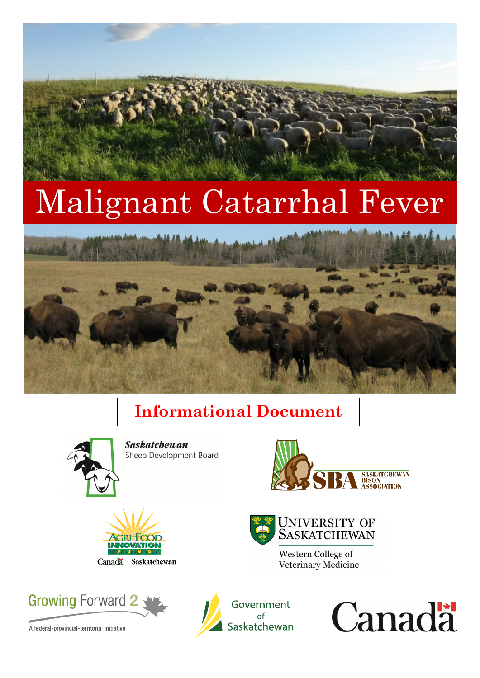# Malignant Catarrhal Fever



## **Informational Document**



**Saskatchewan** Sheep Development Board



**UNIVERSITY OF SASKATCHEWAN** 

Western College of

Veterinary Medicine





A federal-provincial-territorial initiative



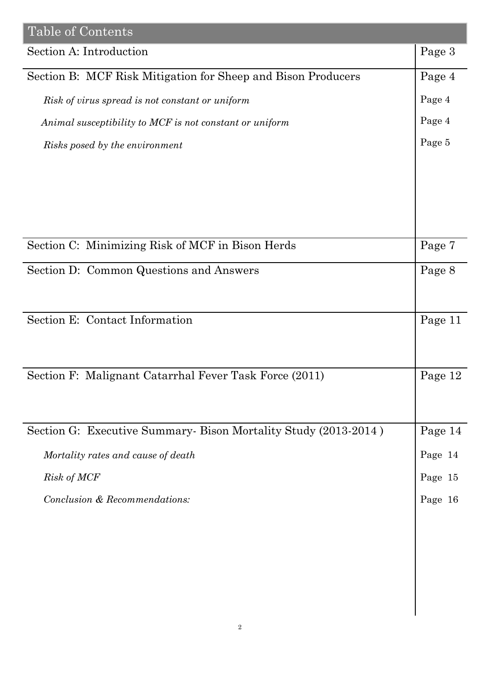| Table of Contents                                              |         |
|----------------------------------------------------------------|---------|
| Section A: Introduction                                        | Page 3  |
| Section B: MCF Risk Mitigation for Sheep and Bison Producers   | Page 4  |
| Risk of virus spread is not constant or uniform                | Page 4  |
| Animal susceptibility to MCF is not constant or uniform        | Page 4  |
| Risks posed by the environment                                 | Page 5  |
|                                                                |         |
|                                                                |         |
|                                                                |         |
|                                                                |         |
| Section C: Minimizing Risk of MCF in Bison Herds               | Page 7  |
| Section D: Common Questions and Answers                        | Page 8  |
|                                                                |         |
| Section E: Contact Information                                 | Page 11 |
|                                                                |         |
|                                                                |         |
| Section F: Malignant Catarrhal Fever Task Force (2011)         | Page 12 |
|                                                                |         |
|                                                                |         |
| Section G: Executive Summary-Bison Mortality Study (2013-2014) | Page 14 |
| Mortality rates and cause of death                             | Page 14 |
| Risk of MCF                                                    | Page 15 |
| Conclusion & Recommendations:                                  | Page 16 |
|                                                                |         |
|                                                                |         |
|                                                                |         |
|                                                                |         |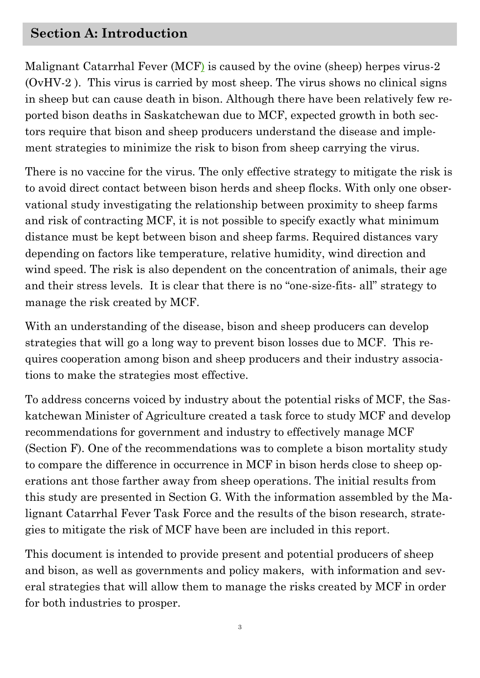#### **Section A: Introduction**

Malignant Catarrhal Fever (MCF) is caused by the ovine (sheep) herpes virus-2 (OvHV-2 ). This virus is carried by most sheep. The virus shows no clinical signs in sheep but can cause death in bison. Although there have been relatively few reported bison deaths in Saskatchewan due to MCF, expected growth in both sectors require that bison and sheep producers understand the disease and implement strategies to minimize the risk to bison from sheep carrying the virus.

There is no vaccine for the virus. The only effective strategy to mitigate the risk is to avoid direct contact between bison herds and sheep flocks. With only one observational study investigating the relationship between proximity to sheep farms and risk of contracting MCF, it is not possible to specify exactly what minimum distance must be kept between bison and sheep farms. Required distances vary depending on factors like temperature, relative humidity, wind direction and wind speed. The risk is also dependent on the concentration of animals, their age and their stress levels. It is clear that there is no "one-size-fits- all" strategy to manage the risk created by MCF.

With an understanding of the disease, bison and sheep producers can develop strategies that will go a long way to prevent bison losses due to MCF. This requires cooperation among bison and sheep producers and their industry associations to make the strategies most effective.

To address concerns voiced by industry about the potential risks of MCF, the Saskatchewan Minister of Agriculture created a task force to study MCF and develop recommendations for government and industry to effectively manage MCF (Section F). One of the recommendations was to complete a bison mortality study to compare the difference in occurrence in MCF in bison herds close to sheep operations ant those farther away from sheep operations. The initial results from this study are presented in Section G. With the information assembled by the Malignant Catarrhal Fever Task Force and the results of the bison research, strategies to mitigate the risk of MCF have been are included in this report.

This document is intended to provide present and potential producers of sheep and bison, as well as governments and policy makers, with information and several strategies that will allow them to manage the risks created by MCF in order for both industries to prosper.

3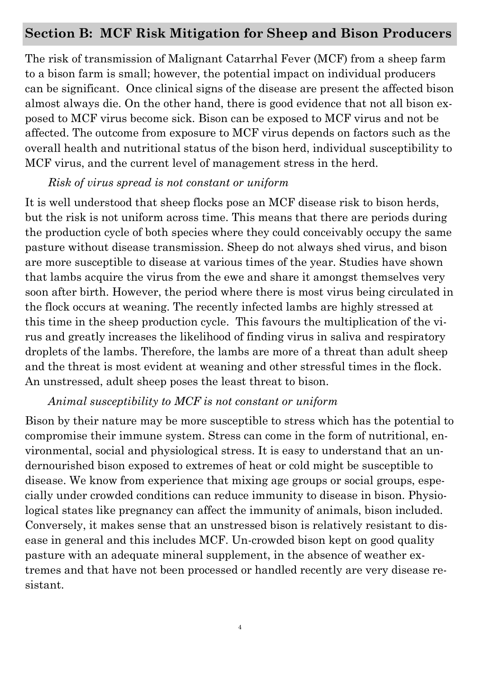#### **Section B: MCF Risk Mitigation for Sheep and Bison Producers**

The risk of transmission of Malignant Catarrhal Fever (MCF) from a sheep farm to a bison farm is small; however, the potential impact on individual producers can be significant. Once clinical signs of the disease are present the affected bison almost always die. On the other hand, there is good evidence that not all bison exposed to MCF virus become sick. Bison can be exposed to MCF virus and not be affected. The outcome from exposure to MCF virus depends on factors such as the overall health and nutritional status of the bison herd, individual susceptibility to MCF virus, and the current level of management stress in the herd.

#### *Risk of virus spread is not constant or uniform*

It is well understood that sheep flocks pose an MCF disease risk to bison herds, but the risk is not uniform across time. This means that there are periods during the production cycle of both species where they could conceivably occupy the same pasture without disease transmission. Sheep do not always shed virus, and bison are more susceptible to disease at various times of the year. Studies have shown that lambs acquire the virus from the ewe and share it amongst themselves very soon after birth. However, the period where there is most virus being circulated in the flock occurs at weaning. The recently infected lambs are highly stressed at this time in the sheep production cycle. This favours the multiplication of the virus and greatly increases the likelihood of finding virus in saliva and respiratory droplets of the lambs. Therefore, the lambs are more of a threat than adult sheep and the threat is most evident at weaning and other stressful times in the flock. An unstressed, adult sheep poses the least threat to bison.

#### *Animal susceptibility to MCF is not constant or uniform*

Bison by their nature may be more susceptible to stress which has the potential to compromise their immune system. Stress can come in the form of nutritional, environmental, social and physiological stress. It is easy to understand that an undernourished bison exposed to extremes of heat or cold might be susceptible to disease. We know from experience that mixing age groups or social groups, especially under crowded conditions can reduce immunity to disease in bison. Physiological states like pregnancy can affect the immunity of animals, bison included. Conversely, it makes sense that an unstressed bison is relatively resistant to disease in general and this includes MCF. Un-crowded bison kept on good quality pasture with an adequate mineral supplement, in the absence of weather extremes and that have not been processed or handled recently are very disease resistant.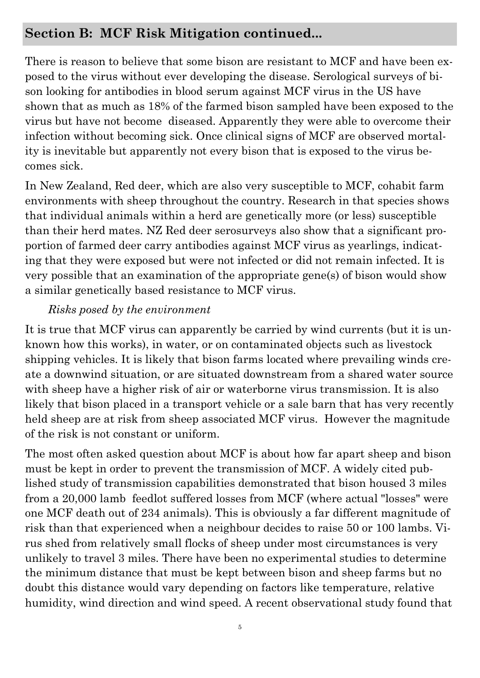#### **Section B: MCF Risk Mitigation continued...**

There is reason to believe that some bison are resistant to MCF and have been exposed to the virus without ever developing the disease. Serological surveys of bison looking for antibodies in blood serum against MCF virus in the US have shown that as much as 18% of the farmed bison sampled have been exposed to the virus but have not become diseased. Apparently they were able to overcome their infection without becoming sick. Once clinical signs of MCF are observed mortality is inevitable but apparently not every bison that is exposed to the virus becomes sick.

In New Zealand, Red deer, which are also very susceptible to MCF, cohabit farm environments with sheep throughout the country. Research in that species shows that individual animals within a herd are genetically more (or less) susceptible than their herd mates. NZ Red deer serosurveys also show that a significant proportion of farmed deer carry antibodies against MCF virus as yearlings, indicating that they were exposed but were not infected or did not remain infected. It is very possible that an examination of the appropriate gene(s) of bison would show a similar genetically based resistance to MCF virus.

#### *Risks posed by the environment*

It is true that MCF virus can apparently be carried by wind currents (but it is unknown how this works), in water, or on contaminated objects such as livestock shipping vehicles. It is likely that bison farms located where prevailing winds create a downwind situation, or are situated downstream from a shared water source with sheep have a higher risk of air or waterborne virus transmission. It is also likely that bison placed in a transport vehicle or a sale barn that has very recently held sheep are at risk from sheep associated MCF virus. However the magnitude of the risk is not constant or uniform.

The most often asked question about MCF is about how far apart sheep and bison must be kept in order to prevent the transmission of MCF. A widely cited published study of transmission capabilities demonstrated that bison housed 3 miles from a 20,000 lamb feedlot suffered losses from MCF (where actual "losses" were one MCF death out of 234 animals). This is obviously a far different magnitude of risk than that experienced when a neighbour decides to raise 50 or 100 lambs. Virus shed from relatively small flocks of sheep under most circumstances is very unlikely to travel 3 miles. There have been no experimental studies to determine the minimum distance that must be kept between bison and sheep farms but no doubt this distance would vary depending on factors like temperature, relative humidity, wind direction and wind speed. A recent observational study found that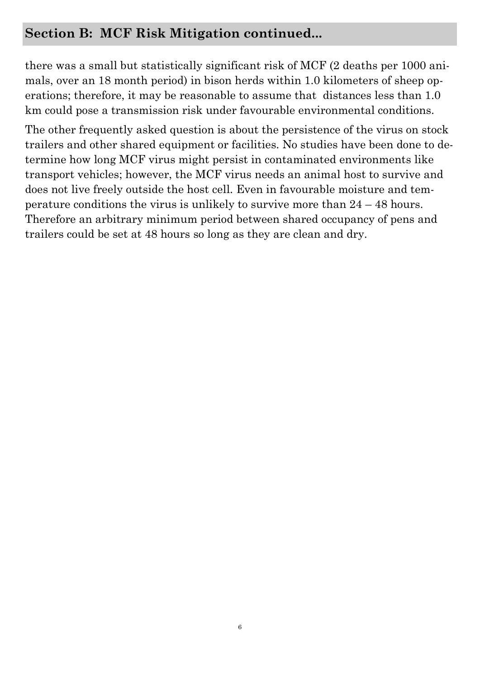#### **Section B: MCF Risk Mitigation continued...**

there was a small but statistically significant risk of MCF (2 deaths per 1000 animals, over an 18 month period) in bison herds within 1.0 kilometers of sheep operations; therefore, it may be reasonable to assume that distances less than 1.0 km could pose a transmission risk under favourable environmental conditions.

The other frequently asked question is about the persistence of the virus on stock trailers and other shared equipment or facilities. No studies have been done to determine how long MCF virus might persist in contaminated environments like transport vehicles; however, the MCF virus needs an animal host to survive and does not live freely outside the host cell. Even in favourable moisture and temperature conditions the virus is unlikely to survive more than 24 – 48 hours. Therefore an arbitrary minimum period between shared occupancy of pens and trailers could be set at 48 hours so long as they are clean and dry.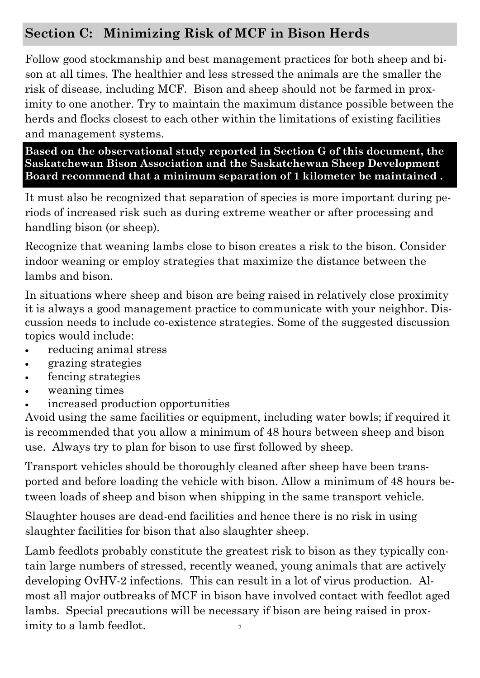## **Section C: Minimizing Risk of MCF in Bison Herds**

Follow good stockmanship and best management practices for both sheep and bison at all times. The healthier and less stressed the animals are the smaller the risk of disease, including MCF. Bison and sheep should not be farmed in proximity to one another. Try to maintain the maximum distance possible between the herds and flocks closest to each other within the limitations of existing facilities and management systems.

**Based on the observational study reported in Section G of this document, the Saskatchewan Bison Association and the Saskatchewan Sheep Development Board recommend that a minimum separation of 1 kilometer be maintained .** 

It must also be recognized that separation of species is more important during periods of increased risk such as during extreme weather or after processing and handling bison (or sheep).

Recognize that weaning lambs close to bison creates a risk to the bison. Consider indoor weaning or employ strategies that maximize the distance between the lambs and bison.

In situations where sheep and bison are being raised in relatively close proximity it is always a good management practice to communicate with your neighbor. Discussion needs to include co-existence strategies. Some of the suggested discussion topics would include:

- reducing animal stress
- grazing strategies
- fencing strategies
- weaning times
- increased production opportunities

Avoid using the same facilities or equipment, including water bowls; if required it is recommended that you allow a minimum of 48 hours between sheep and bison use. Always try to plan for bison to use first followed by sheep.

Transport vehicles should be thoroughly cleaned after sheep have been transported and before loading the vehicle with bison. Allow a minimum of 48 hours between loads of sheep and bison when shipping in the same transport vehicle.

Slaughter houses are dead-end facilities and hence there is no risk in using slaughter facilities for bison that also slaughter sheep.

7 Lamb feedlots probably constitute the greatest risk to bison as they typically contain large numbers of stressed, recently weaned, young animals that are actively developing OvHV-2 infections. This can result in a lot of virus production. Almost all major outbreaks of MCF in bison have involved contact with feedlot aged lambs. Special precautions will be necessary if bison are being raised in proximity to a lamb feedlot.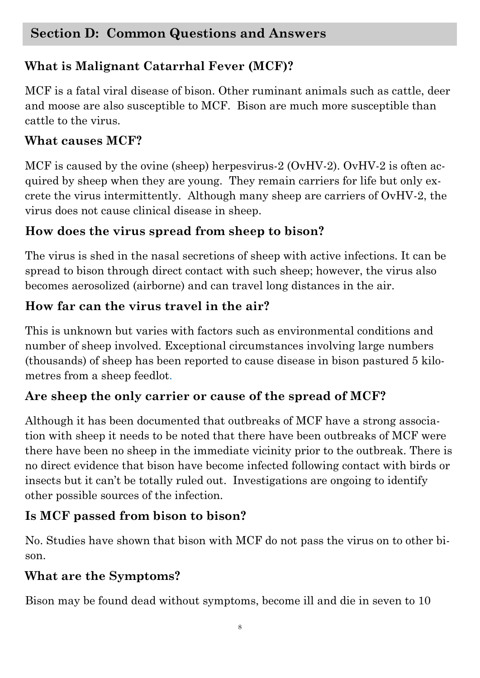## **What is Malignant Catarrhal Fever (MCF)?**

MCF is a fatal viral disease of bison. Other ruminant animals such as cattle, deer and moose are also susceptible to MCF. Bison are much more susceptible than cattle to the virus.

#### **What causes MCF?**

MCF is caused by the ovine (sheep) herpesvirus-2 (OvHV-2). OvHV-2 is often acquired by sheep when they are young. They remain carriers for life but only excrete the virus intermittently. Although many sheep are carriers of OvHV-2, the virus does not cause clinical disease in sheep.

## **How does the virus spread from sheep to bison?**

The virus is shed in the nasal secretions of sheep with active infections. It can be spread to bison through direct contact with such sheep; however, the virus also becomes aerosolized (airborne) and can travel long distances in the air.

## **How far can the virus travel in the air?**

This is unknown but varies with factors such as environmental conditions and number of sheep involved. Exceptional circumstances involving large numbers (thousands) of sheep has been reported to cause disease in bison pastured 5 kilometres from a sheep feedlot.

## **Are sheep the only carrier or cause of the spread of MCF?**

Although it has been documented that outbreaks of MCF have a strong association with sheep it needs to be noted that there have been outbreaks of MCF were there have been no sheep in the immediate vicinity prior to the outbreak. There is no direct evidence that bison have become infected following contact with birds or insects but it can't be totally ruled out. Investigations are ongoing to identify other possible sources of the infection.

## **Is MCF passed from bison to bison?**

No. Studies have shown that bison with MCF do not pass the virus on to other bison.

## **What are the Symptoms?**

Bison may be found dead without symptoms, become ill and die in seven to 10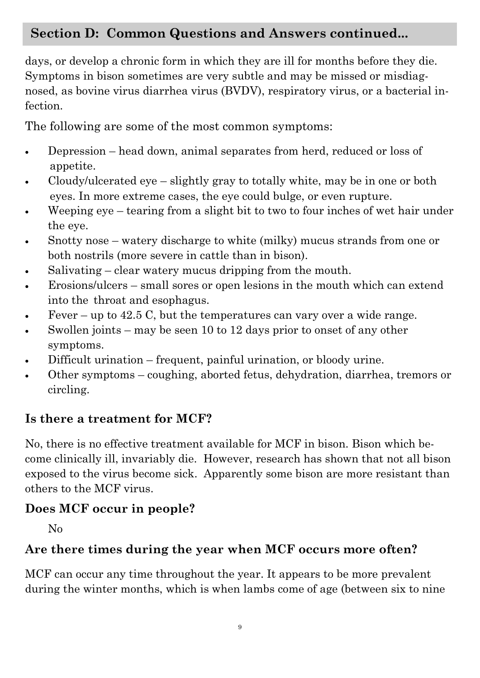## **Section D: Common Questions and Answers continued...**

days, or develop a chronic form in which they are ill for months before they die. Symptoms in bison sometimes are very subtle and may be missed or misdiagnosed, as bovine virus diarrhea virus (BVDV), respiratory virus, or a bacterial infection.

The following are some of the most common symptoms:

- Depression head down, animal separates from herd, reduced or loss of appetite.
- Cloudy/ulcerated eye slightly gray to totally white, may be in one or both eyes. In more extreme cases, the eye could bulge, or even rupture.
- Weeping eye tearing from a slight bit to two to four inches of wet hair under the eye.
- Snotty nose watery discharge to white (milky) mucus strands from one or both nostrils (more severe in cattle than in bison).
- Salivating clear watery mucus dripping from the mouth.
- Erosions/ulcers small sores or open lesions in the mouth which can extend into the throat and esophagus.
- Fever up to 42.5 C, but the temperatures can vary over a wide range.
- Swollen joints may be seen 10 to 12 days prior to onset of any other symptoms.
- Difficult urination frequent, painful urination, or bloody urine.
- Other symptoms coughing, aborted fetus, dehydration, diarrhea, tremors or circling.

#### **Is there a treatment for MCF?**

No, there is no effective treatment available for MCF in bison. Bison which become clinically ill, invariably die. However, research has shown that not all bison exposed to the virus become sick. Apparently some bison are more resistant than others to the MCF virus.

#### **Does MCF occur in people?**

No

#### **Are there times during the year when MCF occurs more often?**

MCF can occur any time throughout the year. It appears to be more prevalent during the winter months, which is when lambs come of age (between six to nine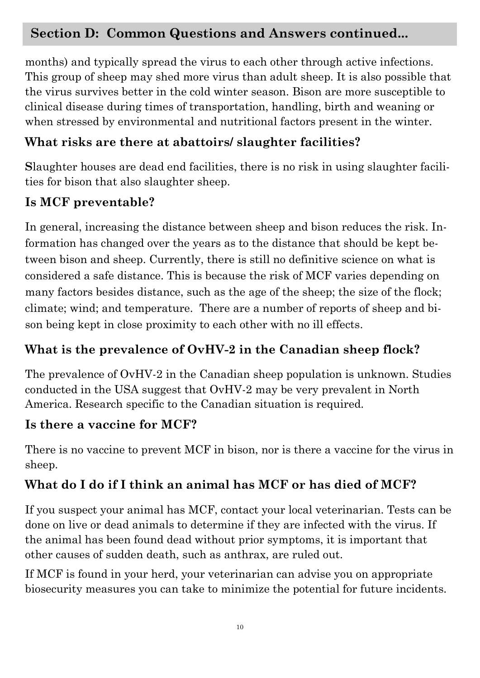## **Section D: Common Questions and Answers continued...**

months) and typically spread the virus to each other through active infections. This group of sheep may shed more virus than adult sheep. It is also possible that the virus survives better in the cold winter season. Bison are more susceptible to clinical disease during times of transportation, handling, birth and weaning or when stressed by environmental and nutritional factors present in the winter.

## **What risks are there at abattoirs/ slaughter facilities?**

**S**laughter houses are dead end facilities, there is no risk in using slaughter facilities for bison that also slaughter sheep.

## **Is MCF preventable?**

In general, increasing the distance between sheep and bison reduces the risk. Information has changed over the years as to the distance that should be kept between bison and sheep. Currently, there is still no definitive science on what is considered a safe distance. This is because the risk of MCF varies depending on many factors besides distance, such as the age of the sheep; the size of the flock; climate; wind; and temperature. There are a number of reports of sheep and bison being kept in close proximity to each other with no ill effects.

## **What is the prevalence of OvHV-2 in the Canadian sheep flock?**

The prevalence of OvHV-2 in the Canadian sheep population is unknown. Studies conducted in the USA suggest that OvHV-2 may be very prevalent in North America. Research specific to the Canadian situation is required.

## **Is there a vaccine for MCF?**

There is no vaccine to prevent MCF in bison, nor is there a vaccine for the virus in sheep.

## **What do I do if I think an animal has MCF or has died of MCF?**

If you suspect your animal has MCF, contact your local veterinarian. Tests can be done on live or dead animals to determine if they are infected with the virus. If the animal has been found dead without prior symptoms, it is important that other causes of sudden death, such as anthrax, are ruled out.

If MCF is found in your herd, your veterinarian can advise you on appropriate biosecurity measures you can take to minimize the potential for future incidents.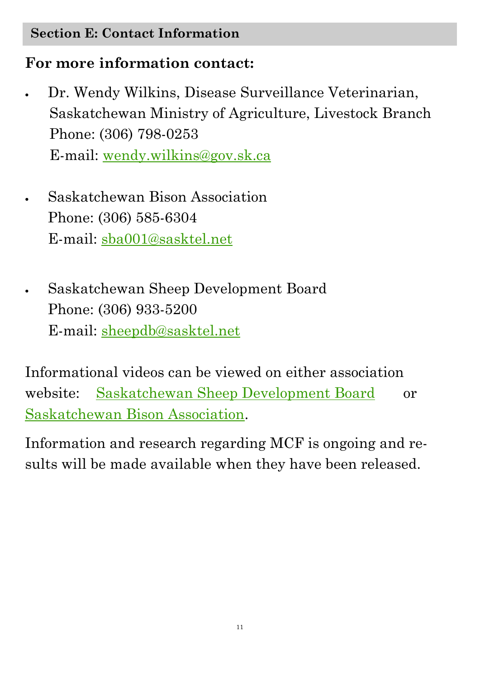#### **Section E: Contact Information**

## **For more information contact:**

 Dr. Wendy Wilkins, Disease Surveillance Veterinarian, Saskatchewan Ministry of Agriculture, Livestock Branch Phone: (306) 798-0253 E-mail: [wendy.wilkins@gov.sk.ca](mailto:wendy.wilkins@gov.sk.ca)

 Saskatchewan Bison Association Phone: (306) 585-6304 E-mail: [sba001@sasktel.net](mailto:sba001@sasktel.net)

 Saskatchewan Sheep Development Board Phone: (306) 933-5200 E-mail: [sheepdb@sasktel.net](mailto:sheepdb@sasktel.net)

Informational videos can be viewed on either association website: [Saskatchewan Sheep Development Board](http://www.sksheep.com/services_extension_services.htm) or [Saskatchewan Bison Association.](http://canadianbison.ca/producer/The_CBA/SaskatchewanBisonAssociation.htm)

Information and research regarding MCF is ongoing and results will be made available when they have been released.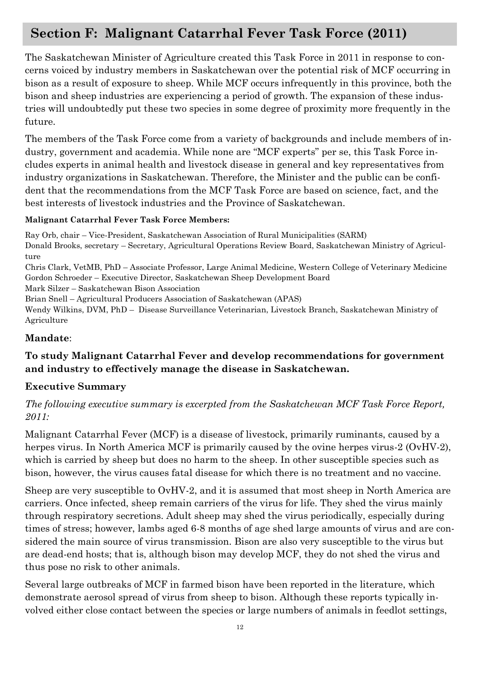## **Section F: Malignant Catarrhal Fever Task Force (2011)**

The Saskatchewan Minister of Agriculture created this Task Force in 2011 in response to concerns voiced by industry members in Saskatchewan over the potential risk of MCF occurring in bison as a result of exposure to sheep. While MCF occurs infrequently in this province, both the bison and sheep industries are experiencing a period of growth. The expansion of these industries will undoubtedly put these two species in some degree of proximity more frequently in the future.

The members of the Task Force come from a variety of backgrounds and include members of industry, government and academia. While none are "MCF experts" per se, this Task Force includes experts in animal health and livestock disease in general and key representatives from industry organizations in Saskatchewan. Therefore, the Minister and the public can be confident that the recommendations from the MCF Task Force are based on science, fact, and the best interests of livestock industries and the Province of Saskatchewan.

#### **Malignant Catarrhal Fever Task Force Members:**

Ray Orb, chair – Vice-President, Saskatchewan Association of Rural Municipalities (SARM) Donald Brooks, secretary – Secretary, Agricultural Operations Review Board, Saskatchewan Ministry of Agriculture Chris Clark, VetMB, PhD – Associate Professor, Large Animal Medicine, Western College of Veterinary Medicine Gordon Schroeder – Executive Director, Saskatchewan Sheep Development Board Mark Silzer – Saskatchewan Bison Association

Brian Snell – Agricultural Producers Association of Saskatchewan (APAS)

Wendy Wilkins, DVM, PhD – Disease Surveillance Veterinarian, Livestock Branch, Saskatchewan Ministry of Agriculture

#### **Mandate**:

#### **To study Malignant Catarrhal Fever and develop recommendations for government and industry to effectively manage the disease in Saskatchewan.**

#### **Executive Summary**

*The following executive summary is excerpted from the Saskatchewan MCF Task Force Report, 2011:*

Malignant Catarrhal Fever (MCF) is a disease of livestock, primarily ruminants, caused by a herpes virus. In North America MCF is primarily caused by the ovine herpes virus-2 (OvHV-2), which is carried by sheep but does no harm to the sheep. In other susceptible species such as bison, however, the virus causes fatal disease for which there is no treatment and no vaccine.

Sheep are very susceptible to OvHV-2, and it is assumed that most sheep in North America are carriers. Once infected, sheep remain carriers of the virus for life. They shed the virus mainly through respiratory secretions. Adult sheep may shed the virus periodically, especially during times of stress; however, lambs aged 6-8 months of age shed large amounts of virus and are considered the main source of virus transmission. Bison are also very susceptible to the virus but are dead-end hosts; that is, although bison may develop MCF, they do not shed the virus and thus pose no risk to other animals.

Several large outbreaks of MCF in farmed bison have been reported in the literature, which demonstrate aerosol spread of virus from sheep to bison. Although these reports typically involved either close contact between the species or large numbers of animals in feedlot settings,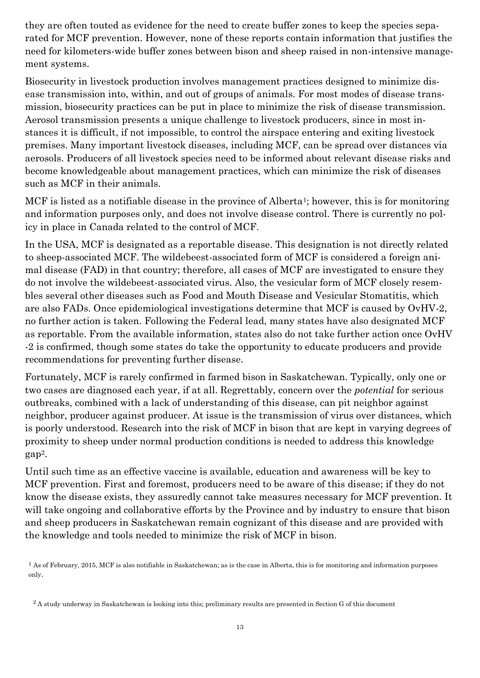they are often touted as evidence for the need to create buffer zones to keep the species separated for MCF prevention. However, none of these reports contain information that justifies the need for kilometers-wide buffer zones between bison and sheep raised in non-intensive management systems.

Biosecurity in livestock production involves management practices designed to minimize disease transmission into, within, and out of groups of animals. For most modes of disease transmission, biosecurity practices can be put in place to minimize the risk of disease transmission. Aerosol transmission presents a unique challenge to livestock producers, since in most instances it is difficult, if not impossible, to control the airspace entering and exiting livestock premises. Many important livestock diseases, including MCF, can be spread over distances via aerosols. Producers of all livestock species need to be informed about relevant disease risks and become knowledgeable about management practices, which can minimize the risk of diseases such as MCF in their animals.

MCF is listed as a notifiable disease in the province of Alberta<sup>1</sup>; however, this is for monitoring and information purposes only, and does not involve disease control. There is currently no policy in place in Canada related to the control of MCF.

In the USA, MCF is designated as a reportable disease. This designation is not directly related to sheep-associated MCF. The wildebeest-associated form of MCF is considered a foreign animal disease (FAD) in that country; therefore, all cases of MCF are investigated to ensure they do not involve the wildebeest-associated virus. Also, the vesicular form of MCF closely resembles several other diseases such as Food and Mouth Disease and Vesicular Stomatitis, which are also FADs. Once epidemiological investigations determine that MCF is caused by OvHV-2, no further action is taken. Following the Federal lead, many states have also designated MCF as reportable. From the available information, states also do not take further action once OvHV -2 is confirmed, though some states do take the opportunity to educate producers and provide recommendations for preventing further disease.

Fortunately, MCF is rarely confirmed in farmed bison in Saskatchewan. Typically, only one or two cases are diagnosed each year, if at all. Regrettably, concern over the *potential* for serious outbreaks, combined with a lack of understanding of this disease, can pit neighbor against neighbor, producer against producer. At issue is the transmission of virus over distances, which is poorly understood. Research into the risk of MCF in bison that are kept in varying degrees of proximity to sheep under normal production conditions is needed to address this knowledge gap2.

Until such time as an effective vaccine is available, education and awareness will be key to MCF prevention. First and foremost, producers need to be aware of this disease; if they do not know the disease exists, they assuredly cannot take measures necessary for MCF prevention. It will take ongoing and collaborative efforts by the Province and by industry to ensure that bison and sheep producers in Saskatchewan remain cognizant of this disease and are provided with the knowledge and tools needed to minimize the risk of MCF in bison.

 $<sup>1</sup>$  As of February, 2015, MCF is also notifiable in Saskatchewan; as is the case in Alberta, this is for monitoring and information purposes</sup> only.

<sup>&</sup>lt;sup>2</sup> A study underway in Saskatchewan is looking into this; preliminary results are presented in Section G of this document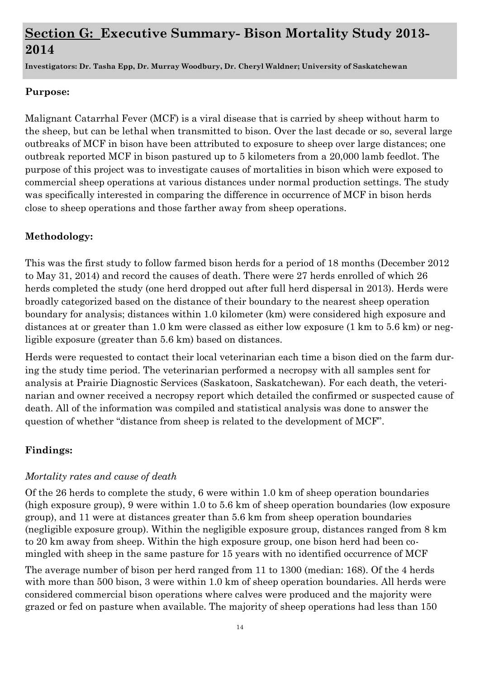## **Section G: Executive Summary- Bison Mortality Study 2013- 2014**

**Investigators: Dr. Tasha Epp, Dr. Murray Woodbury, Dr. Cheryl Waldner; University of Saskatchewan**

#### **Purpose:**

Malignant Catarrhal Fever (MCF) is a viral disease that is carried by sheep without harm to the sheep, but can be lethal when transmitted to bison. Over the last decade or so, several large outbreaks of MCF in bison have been attributed to exposure to sheep over large distances; one outbreak reported MCF in bison pastured up to 5 kilometers from a 20,000 lamb feedlot. The purpose of this project was to investigate causes of mortalities in bison which were exposed to commercial sheep operations at various distances under normal production settings. The study was specifically interested in comparing the difference in occurrence of MCF in bison herds close to sheep operations and those farther away from sheep operations.

#### **Methodology:**

This was the first study to follow farmed bison herds for a period of 18 months (December 2012 to May 31, 2014) and record the causes of death. There were 27 herds enrolled of which 26 herds completed the study (one herd dropped out after full herd dispersal in 2013). Herds were broadly categorized based on the distance of their boundary to the nearest sheep operation boundary for analysis; distances within 1.0 kilometer (km) were considered high exposure and distances at or greater than 1.0 km were classed as either low exposure (1 km to 5.6 km) or negligible exposure (greater than 5.6 km) based on distances.

Herds were requested to contact their local veterinarian each time a bison died on the farm during the study time period. The veterinarian performed a necropsy with all samples sent for analysis at Prairie Diagnostic Services (Saskatoon, Saskatchewan). For each death, the veterinarian and owner received a necropsy report which detailed the confirmed or suspected cause of death. All of the information was compiled and statistical analysis was done to answer the question of whether "distance from sheep is related to the development of MCF".

#### **Findings:**

#### *Mortality rates and cause of death*

Of the 26 herds to complete the study, 6 were within 1.0 km of sheep operation boundaries (high exposure group), 9 were within 1.0 to 5.6 km of sheep operation boundaries (low exposure group), and 11 were at distances greater than 5.6 km from sheep operation boundaries (negligible exposure group). Within the negligible exposure group, distances ranged from 8 km to 20 km away from sheep. Within the high exposure group, one bison herd had been comingled with sheep in the same pasture for 15 years with no identified occurrence of MCF

The average number of bison per herd ranged from 11 to 1300 (median: 168). Of the 4 herds with more than 500 bison, 3 were within 1.0 km of sheep operation boundaries. All herds were considered commercial bison operations where calves were produced and the majority were grazed or fed on pasture when available. The majority of sheep operations had less than 150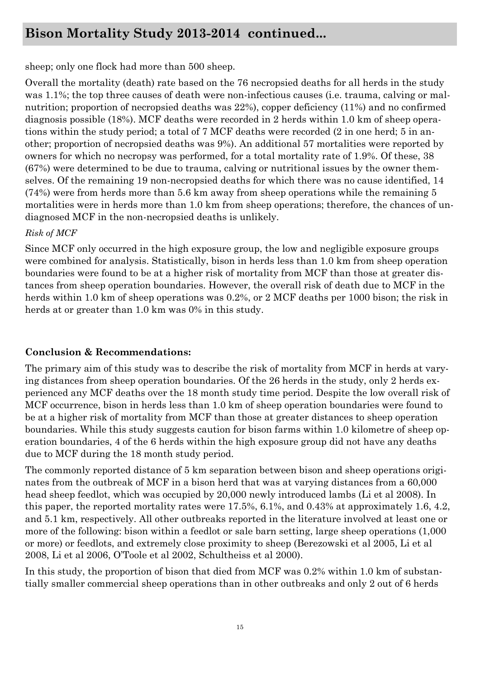#### **Bison Mortality Study 2013-2014 continued...**

sheep; only one flock had more than 500 sheep.

Overall the mortality (death) rate based on the 76 necropsied deaths for all herds in the study was 1.1%; the top three causes of death were non-infectious causes (i.e. trauma, calving or malnutrition; proportion of necropsied deaths was 22%), copper deficiency (11%) and no confirmed diagnosis possible (18%). MCF deaths were recorded in 2 herds within 1.0 km of sheep operations within the study period; a total of 7 MCF deaths were recorded (2 in one herd; 5 in another; proportion of necropsied deaths was 9%). An additional 57 mortalities were reported by owners for which no necropsy was performed, for a total mortality rate of 1.9%. Of these, 38 (67%) were determined to be due to trauma, calving or nutritional issues by the owner themselves. Of the remaining 19 non-necropsied deaths for which there was no cause identified, 14 (74%) were from herds more than 5.6 km away from sheep operations while the remaining 5 mortalities were in herds more than 1.0 km from sheep operations; therefore, the chances of undiagnosed MCF in the non-necropsied deaths is unlikely.

#### *Risk of MCF*

Since MCF only occurred in the high exposure group, the low and negligible exposure groups were combined for analysis. Statistically, bison in herds less than 1.0 km from sheep operation boundaries were found to be at a higher risk of mortality from MCF than those at greater distances from sheep operation boundaries. However, the overall risk of death due to MCF in the herds within 1.0 km of sheep operations was 0.2%, or 2 MCF deaths per 1000 bison; the risk in herds at or greater than 1.0 km was 0% in this study.

#### **Conclusion & Recommendations:**

The primary aim of this study was to describe the risk of mortality from MCF in herds at varying distances from sheep operation boundaries. Of the 26 herds in the study, only 2 herds experienced any MCF deaths over the 18 month study time period. Despite the low overall risk of MCF occurrence, bison in herds less than 1.0 km of sheep operation boundaries were found to be at a higher risk of mortality from MCF than those at greater distances to sheep operation boundaries. While this study suggests caution for bison farms within 1.0 kilometre of sheep operation boundaries, 4 of the 6 herds within the high exposure group did not have any deaths due to MCF during the 18 month study period.

The commonly reported distance of 5 km separation between bison and sheep operations originates from the outbreak of MCF in a bison herd that was at varying distances from a 60,000 head sheep feedlot, which was occupied by 20,000 newly introduced lambs (Li et al 2008). In this paper, the reported mortality rates were 17.5%, 6.1%, and 0.43% at approximately 1.6, 4.2, and 5.1 km, respectively. All other outbreaks reported in the literature involved at least one or more of the following: bison within a feedlot or sale barn setting, large sheep operations (1,000 or more) or feedlots, and extremely close proximity to sheep (Berezowski et al 2005, Li et al 2008, Li et al 2006, O'Toole et al 2002, Schultheiss et al 2000).

In this study, the proportion of bison that died from MCF was 0.2% within 1.0 km of substantially smaller commercial sheep operations than in other outbreaks and only 2 out of 6 herds